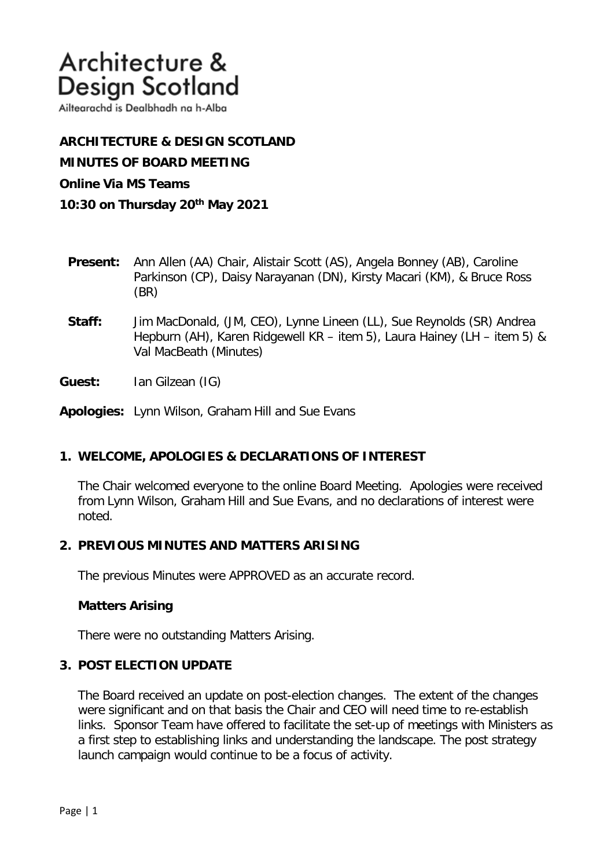Ailtearachd is Dealbhadh na h-Alba

**ARCHITECTURE & DESIGN SCOTLAND MINUTES OF BOARD MEETING Online Via MS Teams 10:30 on Thursday 20th May 2021**

- **Present:** Ann Allen (AA) Chair, Alistair Scott (AS), Angela Bonney (AB), Caroline Parkinson (CP), Daisy Narayanan (DN), Kirsty Macari (KM), & Bruce Ross (BR)
- **Staff:** Jim MacDonald, (JM, CEO), Lynne Lineen (LL), Sue Reynolds (SR) Andrea Hepburn (AH), Karen Ridgewell KR – item 5), Laura Hainey (LH – item 5) & Val MacBeath (Minutes)

**Guest:** Ian Gilzean (IG)

**Apologies:** Lynn Wilson, Graham Hill and Sue Evans

### **1. WELCOME, APOLOGIES & DECLARATIONS OF INTEREST**

The Chair welcomed everyone to the online Board Meeting. Apologies were received from Lynn Wilson, Graham Hill and Sue Evans, and no declarations of interest were noted.

### **2. PREVIOUS MINUTES AND MATTERS ARISING**

The previous Minutes were APPROVED as an accurate record.

#### **Matters Arising**

There were no outstanding Matters Arising.

### **3. POST ELECTION UPDATE**

The Board received an update on post-election changes. The extent of the changes were significant and on that basis the Chair and CEO will need time to re-establish links. Sponsor Team have offered to facilitate the set-up of meetings with Ministers as a first step to establishing links and understanding the landscape. The post strategy launch campaign would continue to be a focus of activity.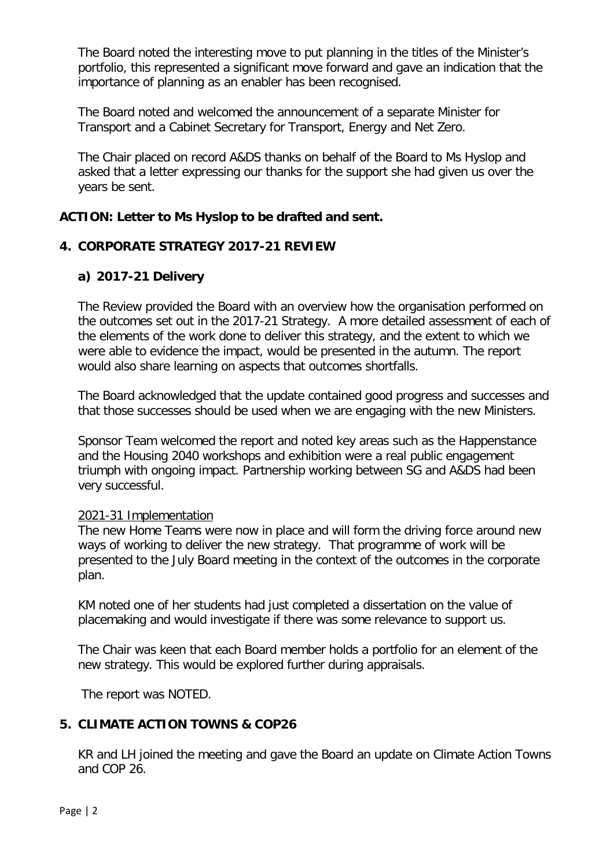The Board noted the interesting move to put planning in the titles of the Minister's portfolio, this represented a significant move forward and gave an indication that the importance of planning as an enabler has been recognised.

The Board noted and welcomed the announcement of a separate Minister for Transport and a Cabinet Secretary for Transport, Energy and Net Zero.

The Chair placed on record A&DS thanks on behalf of the Board to Ms Hyslop and asked that a letter expressing our thanks for the support she had given us over the years be sent.

# **ACTION: Letter to Ms Hyslop to be drafted and sent.**

# **4. CORPORATE STRATEGY 2017-21 REVIEW**

# **a) 2017-21 Delivery**

The Review provided the Board with an overview how the organisation performed on the outcomes set out in the 2017-21 Strategy. A more detailed assessment of each of the elements of the work done to deliver this strategy, and the extent to which we were able to evidence the impact, would be presented in the autumn. The report would also share learning on aspects that outcomes shortfalls.

The Board acknowledged that the update contained good progress and successes and that those successes should be used when we are engaging with the new Ministers.

Sponsor Team welcomed the report and noted key areas such as the Happenstance and the Housing 2040 workshops and exhibition were a real public engagement triumph with ongoing impact. Partnership working between SG and A&DS had been very successful.

### 2021-31 Implementation

The new Home Teams were now in place and will form the driving force around new ways of working to deliver the new strategy. That programme of work will be presented to the July Board meeting in the context of the outcomes in the corporate plan.

KM noted one of her students had just completed a dissertation on the value of placemaking and would investigate if there was some relevance to support us.

The Chair was keen that each Board member holds a portfolio for an element of the new strategy. This would be explored further during appraisals.

The report was NOTED.

# **5. CLIMATE ACTION TOWNS & COP26**

KR and LH joined the meeting and gave the Board an update on Climate Action Towns and COP 26.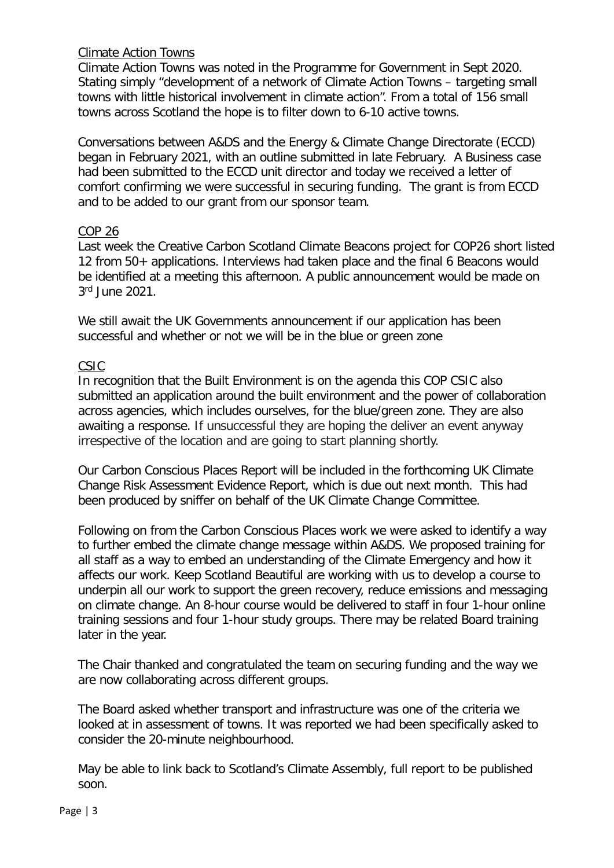## Climate Action Towns

Climate Action Towns was noted in the Programme for Government in Sept 2020. Stating simply "development of a network of Climate Action Towns – targeting small towns with little historical involvement in climate action". From a total of 156 small towns across Scotland the hope is to filter down to 6-10 active towns.

Conversations between A&DS and the Energy & Climate Change Directorate (ECCD) began in February 2021, with an outline submitted in late February. A Business case had been submitted to the ECCD unit director and today we received a letter of comfort confirming we were successful in securing funding. The grant is from ECCD and to be added to our grant from our sponsor team.

### COP 26

Last week the Creative Carbon Scotland Climate Beacons project for COP26 short listed 12 from 50+ applications. Interviews had taken place and the final 6 Beacons would be identified at a meeting this afternoon. A public announcement would be made on 3rd June 2021.

We still await the UK Governments announcement if our application has been successful and whether or not we will be in the blue or green zone

## CSIC

In recognition that the Built Environment is on the agenda this COP CSIC also submitted an application around the built environment and the power of collaboration across agencies, which includes ourselves, for the blue/green zone. They are also awaiting a response. If unsuccessful they are hoping the deliver an event anyway irrespective of the location and are going to start planning shortly.

Our Carbon Conscious Places Report will be included in the forthcoming UK Climate Change Risk Assessment Evidence Report, which is due out next month. This had been produced by sniffer on behalf of the UK Climate Change Committee.

Following on from the Carbon Conscious Places work we were asked to identify a way to further embed the climate change message within A&DS. We proposed training for all staff as a way to embed an understanding of the Climate Emergency and how it affects our work. Keep Scotland Beautiful are working with us to develop a course to underpin all our work to support the green recovery, reduce emissions and messaging on climate change. An 8-hour course would be delivered to staff in four 1-hour online training sessions and four 1-hour study groups. There may be related Board training later in the year.

The Chair thanked and congratulated the team on securing funding and the way we are now collaborating across different groups.

The Board asked whether transport and infrastructure was one of the criteria we looked at in assessment of towns. It was reported we had been specifically asked to consider the 20-minute neighbourhood.

May be able to link back to Scotland's Climate Assembly, full report to be published soon.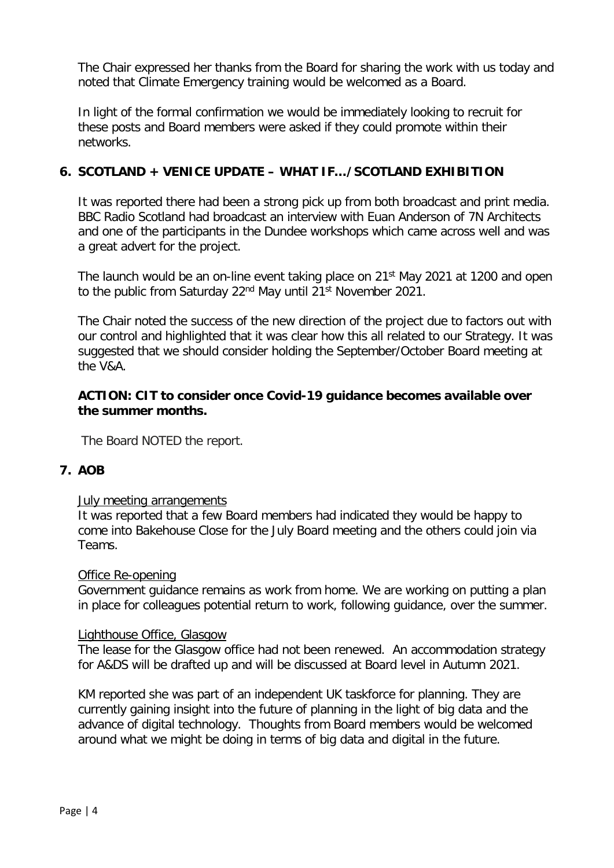The Chair expressed her thanks from the Board for sharing the work with us today and noted that Climate Emergency training would be welcomed as a Board.

In light of the formal confirmation we would be immediately looking to recruit for these posts and Board members were asked if they could promote within their networks.

# **6. SCOTLAND + VENICE UPDATE – WHAT IF…/SCOTLAND EXHIBITION**

It was reported there had been a strong pick up from both broadcast and print media. BBC Radio Scotland had broadcast an interview with Euan Anderson of 7N Architects and one of the participants in the Dundee workshops which came across well and was a great advert for the project.

The launch would be an on-line event taking place on 21<sup>st</sup> May 2021 at 1200 and open to the public from Saturday 22<sup>nd</sup> May until 21<sup>st</sup> November 2021.

The Chair noted the success of the new direction of the project due to factors out with our control and highlighted that it was clear how this all related to our Strategy. It was suggested that we should consider holding the September/October Board meeting at the V&A.

## **ACTION: CIT to consider once Covid-19 guidance becomes available over the summer months.**

The Board NOTED the report.

# **7. AOB**

### July meeting arrangements

It was reported that a few Board members had indicated they would be happy to come into Bakehouse Close for the July Board meeting and the others could join via Teams.

#### Office Re-opening

Government guidance remains as work from home. We are working on putting a plan in place for colleagues potential return to work, following guidance, over the summer.

### Lighthouse Office, Glasgow

The lease for the Glasgow office had not been renewed. An accommodation strategy for A&DS will be drafted up and will be discussed at Board level in Autumn 2021.

KM reported she was part of an independent UK taskforce for planning. They are currently gaining insight into the future of planning in the light of big data and the advance of digital technology. Thoughts from Board members would be welcomed around what we might be doing in terms of big data and digital in the future.